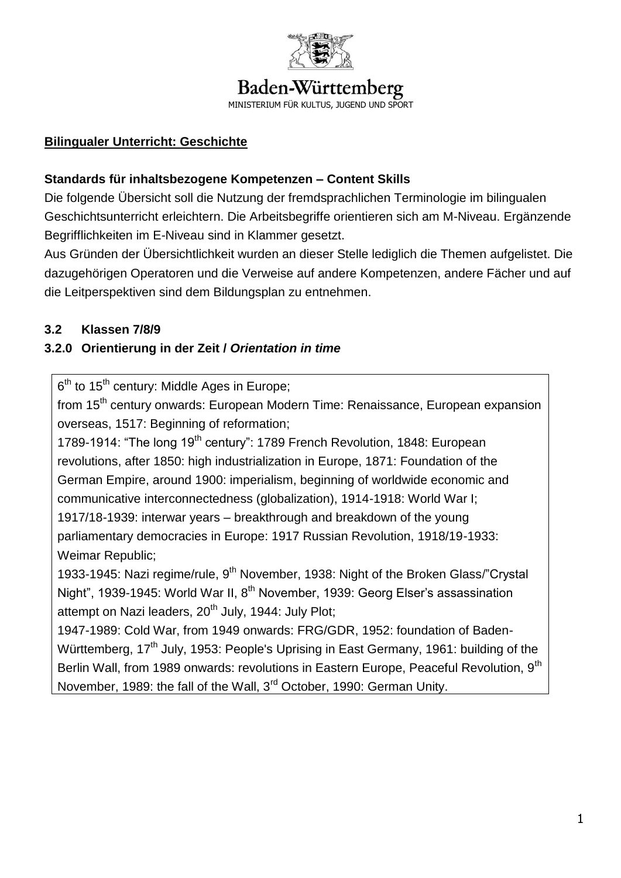

# Baden-Württemberg

MINISTERIUM FÜR KULTUS, JUGEND UND SPORT

### **Bilingualer Unterricht: Geschichte**

### **Standards für inhaltsbezogene Kompetenzen – Content Skills**

Die folgende Übersicht soll die Nutzung der fremdsprachlichen Terminologie im bilingualen Geschichtsunterricht erleichtern. Die Arbeitsbegriffe orientieren sich am M-Niveau. Ergänzende Begrifflichkeiten im E-Niveau sind in Klammer gesetzt.

Aus Gründen der Übersichtlichkeit wurden an dieser Stelle lediglich die Themen aufgelistet. Die dazugehörigen Operatoren und die Verweise auf andere Kompetenzen, andere Fächer und auf die Leitperspektiven sind dem Bildungsplan zu entnehmen.

### **3.2 Klassen 7/8/9**

### **3.2.0 Orientierung in der Zeit /** *Orientation in time*

6<sup>th</sup> to 15<sup>th</sup> century: Middle Ages in Europe;

from 15<sup>th</sup> century onwards: European Modern Time: Renaissance, European expansion overseas, 1517: Beginning of reformation;

1789-1914: "The long 19<sup>th</sup> century": 1789 French Revolution, 1848: European revolutions, after 1850: high industrialization in Europe, 1871: Foundation of the German Empire, around 1900: imperialism, beginning of worldwide economic and communicative interconnectedness (globalization), 1914-1918: World War I;

1917/18-1939: interwar years – breakthrough and breakdown of the young parliamentary democracies in Europe: 1917 Russian Revolution, 1918/19-1933: Weimar Republic;

1933-1945: Nazi regime/rule, 9<sup>th</sup> November, 1938: Night of the Broken Glass/"Crystal Night", 1939-1945: World War II, 8<sup>th</sup> November, 1939: Georg Elser's assassination attempt on Nazi leaders,  $20<sup>th</sup>$  July, 1944: July Plot;

1947-1989: Cold War, from 1949 onwards: FRG/GDR, 1952: foundation of Baden-Württemberg, 17<sup>th</sup> July, 1953: People's Uprising in East Germany, 1961: building of the Berlin Wall, from 1989 onwards: revolutions in Eastern Europe, Peaceful Revolution, 9<sup>th</sup> November, 1989: the fall of the Wall, 3<sup>rd</sup> October, 1990: German Unity.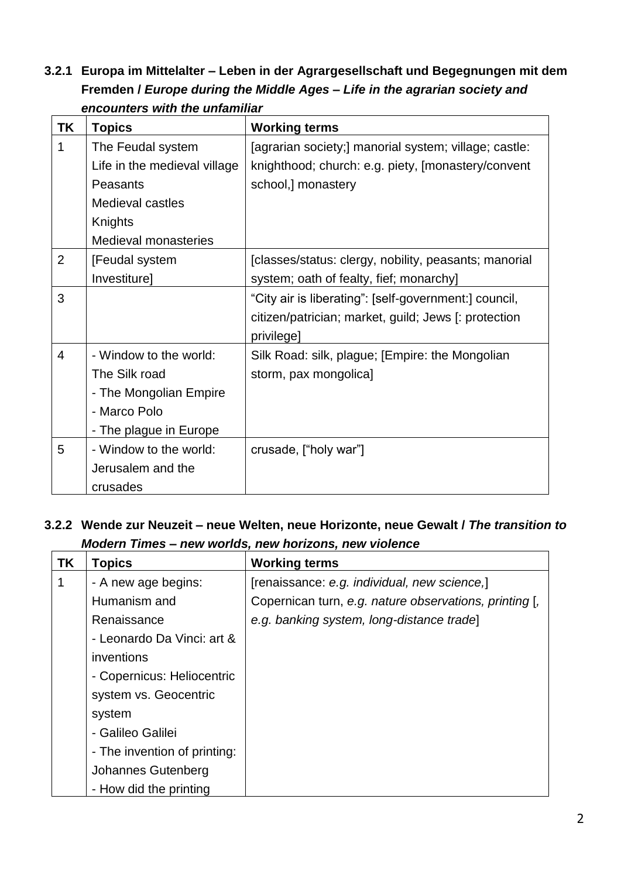**3.2.1 Europa im Mittelalter – Leben in der Agrargesellschaft und Begegnungen mit dem Fremden /** *Europe during the Middle Ages – Life in the agrarian society and encounters with the unfamiliar*

| <b>TK</b>      | <b>Topics</b>                | <b>Working terms</b>                                  |
|----------------|------------------------------|-------------------------------------------------------|
| 1              | The Feudal system            | [agrarian society;] manorial system; village; castle: |
|                | Life in the medieval village | knighthood; church: e.g. piety, [monastery/convent    |
|                | Peasants                     | school,] monastery                                    |
|                | Medieval castles             |                                                       |
|                | Knights                      |                                                       |
|                | <b>Medieval monasteries</b>  |                                                       |
| $\overline{2}$ | [Feudal system               | [classes/status: clergy, nobility, peasants; manorial |
|                | Investiture]                 | system; oath of fealty, fief; monarchy]               |
| 3              |                              | "City air is liberating": [self-government:] council, |
|                |                              | citizen/patrician; market, guild; Jews [: protection  |
|                |                              | privilege]                                            |
| $\overline{4}$ | - Window to the world:       | Silk Road: silk, plague; [Empire: the Mongolian       |
|                | The Silk road                | storm, pax mongolica]                                 |
|                | - The Mongolian Empire       |                                                       |
|                | - Marco Polo                 |                                                       |
|                | - The plague in Europe       |                                                       |
| 5              | - Window to the world:       | crusade, ["holy war"]                                 |
|                | Jerusalem and the            |                                                       |
|                | crusades                     |                                                       |

**3.2.2 Wende zur Neuzeit – neue Welten, neue Horizonte, neue Gewalt /** *The transition to Modern Times – new worlds, new horizons, new violence*

| <b>TK</b> | <b>Topics</b>                | <b>Working terms</b>                                   |
|-----------|------------------------------|--------------------------------------------------------|
|           | - A new age begins:          | [renaissance: e.g. individual, new science,]           |
|           | Humanism and                 | Copernican turn, e.g. nature observations, printing [, |
|           | Renaissance                  | e.g. banking system, long-distance tradel              |
|           | - Leonardo Da Vinci: art &   |                                                        |
|           | inventions                   |                                                        |
|           | - Copernicus: Heliocentric   |                                                        |
|           | system vs. Geocentric        |                                                        |
|           | system                       |                                                        |
|           | - Galileo Galilei            |                                                        |
|           | - The invention of printing: |                                                        |
|           | Johannes Gutenberg           |                                                        |
|           | - How did the printing       |                                                        |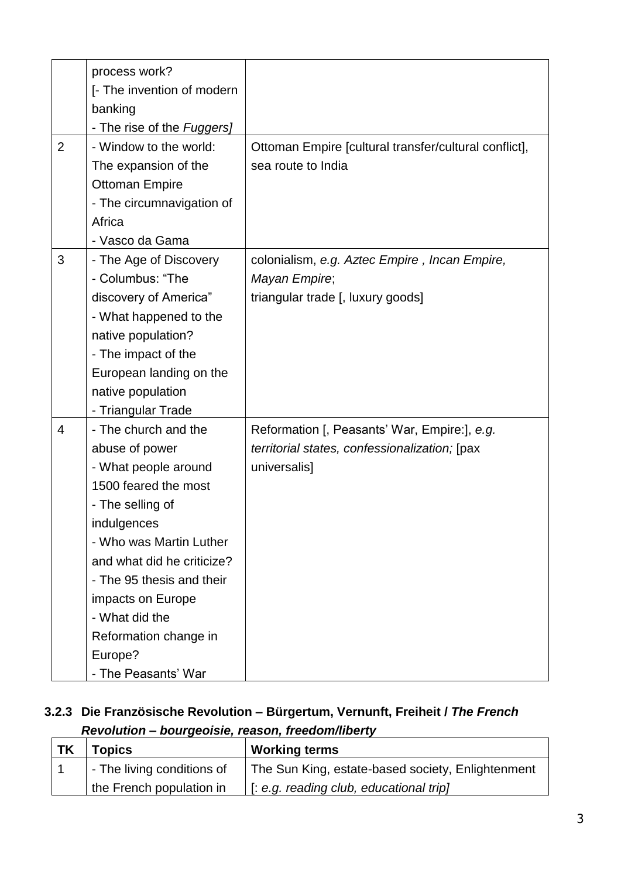|                | process work?              |                                                       |
|----------------|----------------------------|-------------------------------------------------------|
|                | [- The invention of modern |                                                       |
|                | banking                    |                                                       |
|                | - The rise of the Fuggers] |                                                       |
| $\overline{2}$ | - Window to the world:     | Ottoman Empire [cultural transfer/cultural conflict], |
|                | The expansion of the       | sea route to India                                    |
|                | <b>Ottoman Empire</b>      |                                                       |
|                | - The circumnavigation of  |                                                       |
|                | Africa                     |                                                       |
|                | - Vasco da Gama            |                                                       |
| 3              | - The Age of Discovery     | colonialism, e.g. Aztec Empire, Incan Empire,         |
|                | - Columbus: "The           | Mayan Empire;                                         |
|                | discovery of America"      | triangular trade [, luxury goods]                     |
|                | - What happened to the     |                                                       |
|                | native population?         |                                                       |
|                | - The impact of the        |                                                       |
|                | European landing on the    |                                                       |
|                | native population          |                                                       |
|                | - Triangular Trade         |                                                       |
| 4              | - The church and the       | Reformation [, Peasants' War, Empire:], e.g.          |
|                | abuse of power             | territorial states, confessionalization; [pax         |
|                | - What people around       | universalis]                                          |
|                | 1500 feared the most       |                                                       |
|                | - The selling of           |                                                       |
|                | indulgences                |                                                       |
|                | - Who was Martin Luther    |                                                       |
|                | and what did he criticize? |                                                       |
|                | - The 95 thesis and their  |                                                       |
|                | impacts on Europe          |                                                       |
|                | - What did the             |                                                       |
|                | Reformation change in      |                                                       |
|                | Europe?                    |                                                       |
|                | - The Peasants' War        |                                                       |

#### **3.2.3 Die Französische Revolution – Bürgertum, Vernunft, Freiheit /** *The French Revolution – bourgeoisie, reason, freedom/liberty*

| <b>TK</b> | <b>Topics</b>              | <b>Working terms</b>                              |
|-----------|----------------------------|---------------------------------------------------|
|           | - The living conditions of | The Sun King, estate-based society, Enlightenment |
|           | the French population in   | $\vert$ [: e.g. reading club, educational trip]   |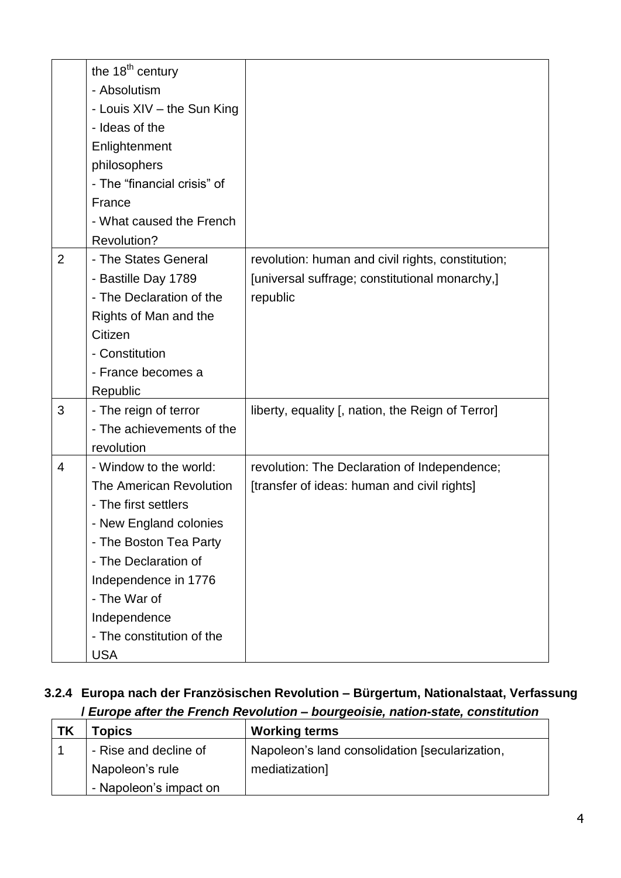|                | the 18 <sup>th</sup> century<br>- Absolutism<br>- Louis XIV - the Sun King |                                                   |
|----------------|----------------------------------------------------------------------------|---------------------------------------------------|
|                | - Ideas of the                                                             |                                                   |
|                | Enlightenment                                                              |                                                   |
|                | philosophers                                                               |                                                   |
|                | - The "financial crisis" of                                                |                                                   |
|                | France                                                                     |                                                   |
|                | - What caused the French                                                   |                                                   |
|                | Revolution?                                                                |                                                   |
| $\overline{2}$ | - The States General                                                       | revolution: human and civil rights, constitution; |
|                | - Bastille Day 1789                                                        | [universal suffrage; constitutional monarchy,]    |
|                | - The Declaration of the                                                   | republic                                          |
|                | Rights of Man and the                                                      |                                                   |
|                | Citizen                                                                    |                                                   |
|                | - Constitution                                                             |                                                   |
|                | - France becomes a                                                         |                                                   |
|                | Republic                                                                   |                                                   |
| 3              | - The reign of terror                                                      | liberty, equality [, nation, the Reign of Terror] |
|                | - The achievements of the                                                  |                                                   |
|                | revolution                                                                 |                                                   |
| 4              | - Window to the world:                                                     | revolution: The Declaration of Independence;      |
|                | The American Revolution                                                    | [transfer of ideas: human and civil rights]       |
|                | - The first settlers                                                       |                                                   |
|                | - New England colonies                                                     |                                                   |
|                | - The Boston Tea Party                                                     |                                                   |
|                | - The Declaration of                                                       |                                                   |
|                | Independence in 1776                                                       |                                                   |
|                | - The War of                                                               |                                                   |
|                | Independence                                                               |                                                   |
|                | - The constitution of the                                                  |                                                   |
|                | <b>USA</b>                                                                 |                                                   |

# **3.2.4 Europa nach der Französischen Revolution – Bürgertum, Nationalstaat, Verfassung /** *Europe after the French Revolution – bourgeoisie, nation-state, constitution*

| <b>TK</b> | Topics                 | <b>Working terms</b>                           |
|-----------|------------------------|------------------------------------------------|
|           | - Rise and decline of  | Napoleon's land consolidation [secularization, |
|           | Napoleon's rule        | mediatization]                                 |
|           | - Napoleon's impact on |                                                |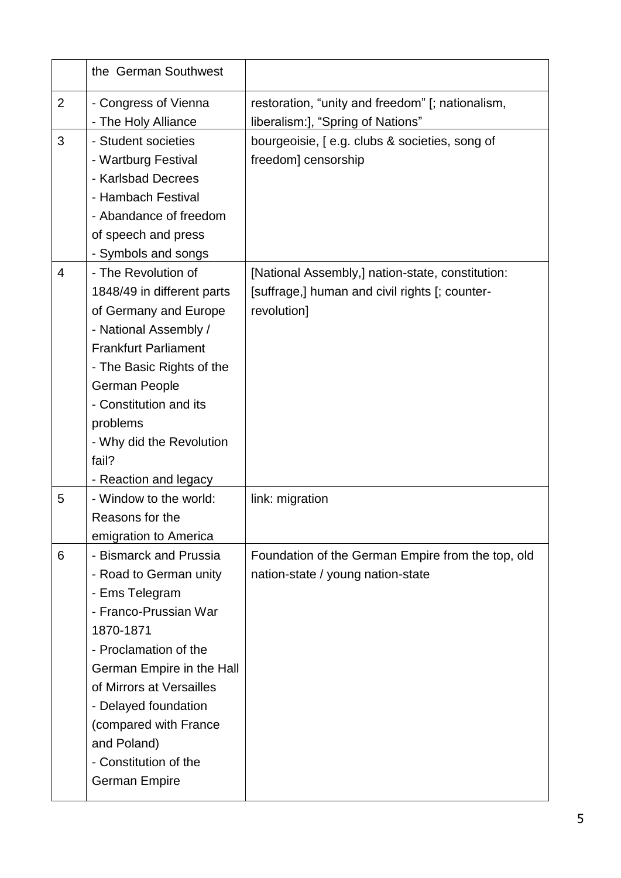|                | the German Southwest        |                                                   |
|----------------|-----------------------------|---------------------------------------------------|
| $\overline{2}$ | - Congress of Vienna        | restoration, "unity and freedom" [; nationalism,  |
|                | - The Holy Alliance         | liberalism:], "Spring of Nations"                 |
| 3              | - Student societies         | bourgeoisie, [e.g. clubs & societies, song of     |
|                | - Wartburg Festival         | freedom] censorship                               |
|                | - Karlsbad Decrees          |                                                   |
|                | - Hambach Festival          |                                                   |
|                | - Abandance of freedom      |                                                   |
|                | of speech and press         |                                                   |
|                | - Symbols and songs         |                                                   |
| $\overline{4}$ | - The Revolution of         | [National Assembly,] nation-state, constitution:  |
|                | 1848/49 in different parts  | [suffrage,] human and civil rights [; counter-    |
|                | of Germany and Europe       | revolution]                                       |
|                | - National Assembly /       |                                                   |
|                | <b>Frankfurt Parliament</b> |                                                   |
|                | - The Basic Rights of the   |                                                   |
|                | German People               |                                                   |
|                | - Constitution and its      |                                                   |
|                | problems                    |                                                   |
|                | - Why did the Revolution    |                                                   |
|                | fail?                       |                                                   |
|                | - Reaction and legacy       |                                                   |
| 5              | - Window to the world:      | link: migration                                   |
|                | Reasons for the             |                                                   |
|                | emigration to America       |                                                   |
| 6              | - Bismarck and Prussia      | Foundation of the German Empire from the top, old |
|                | - Road to German unity      | nation-state / young nation-state                 |
|                | - Ems Telegram              |                                                   |
|                | - Franco-Prussian War       |                                                   |
|                | 1870-1871                   |                                                   |
|                | - Proclamation of the       |                                                   |
|                | German Empire in the Hall   |                                                   |
|                | of Mirrors at Versailles    |                                                   |
|                | - Delayed foundation        |                                                   |
|                | (compared with France       |                                                   |
|                | and Poland)                 |                                                   |
|                | - Constitution of the       |                                                   |
|                | <b>German Empire</b>        |                                                   |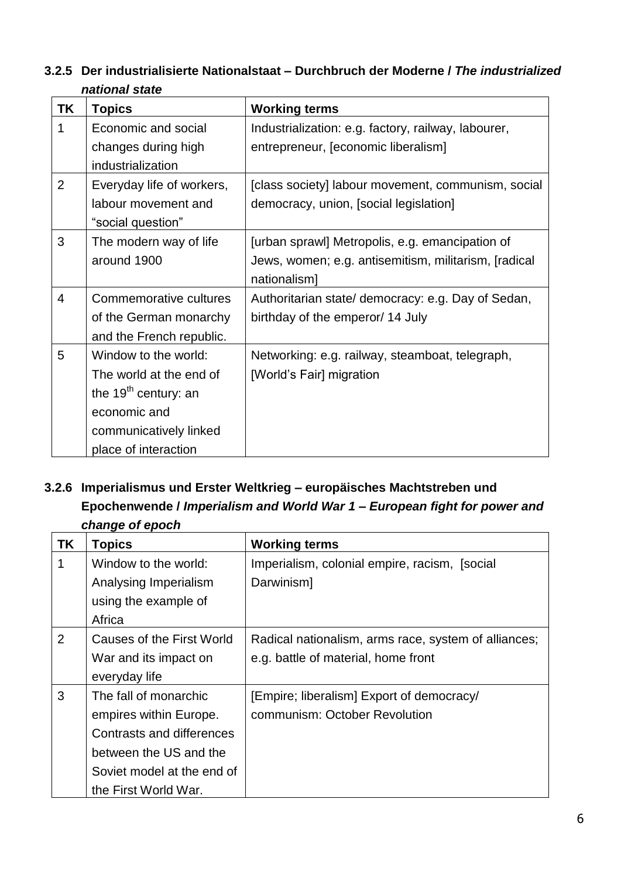### **3.2.5 Der industrialisierte Nationalstaat – Durchbruch der Moderne /** *The industrialized national state*

| ΤK | <b>Topics</b>             | <b>Working terms</b>                                  |
|----|---------------------------|-------------------------------------------------------|
| 1  | Economic and social       | Industrialization: e.g. factory, railway, labourer,   |
|    | changes during high       | entrepreneur, [economic liberalism]                   |
|    | industrialization         |                                                       |
| 2  | Everyday life of workers, | [class society] labour movement, communism, social    |
|    | labour movement and       | democracy, union, [social legislation]                |
|    | "social question"         |                                                       |
| 3  | The modern way of life    | [urban sprawl] Metropolis, e.g. emancipation of       |
|    | around 1900               | Jews, women; e.g. antisemitism, militarism, [radical] |
|    |                           | nationalism]                                          |
| 4  | Commemorative cultures    | Authoritarian state/ democracy: e.g. Day of Sedan,    |
|    | of the German monarchy    | birthday of the emperor/ 14 July                      |
|    | and the French republic.  |                                                       |
| 5  | Window to the world:      | Networking: e.g. railway, steamboat, telegraph,       |
|    | The world at the end of   | [World's Fair] migration                              |
|    | the $19th$ century: an    |                                                       |
|    | economic and              |                                                       |
|    | communicatively linked    |                                                       |
|    | place of interaction      |                                                       |

## **3.2.6 Imperialismus und Erster Weltkrieg – europäisches Machtstreben und Epochenwende /** *Imperialism and World War 1 – European fight for power and change of epoch*

| <b>TK</b>      | <b>Topics</b>              | <b>Working terms</b>                                 |
|----------------|----------------------------|------------------------------------------------------|
| 1              | Window to the world:       | Imperialism, colonial empire, racism, [social]       |
|                | Analysing Imperialism      | Darwinism]                                           |
|                | using the example of       |                                                      |
|                | Africa                     |                                                      |
| $\overline{2}$ | Causes of the First World  | Radical nationalism, arms race, system of alliances; |
|                | War and its impact on      | e.g. battle of material, home front                  |
|                | everyday life              |                                                      |
| 3              | The fall of monarchic      | [Empire; liberalism] Export of democracy/            |
|                | empires within Europe.     | communism: October Revolution                        |
|                | Contrasts and differences  |                                                      |
|                | between the US and the     |                                                      |
|                | Soviet model at the end of |                                                      |
|                | the First World War.       |                                                      |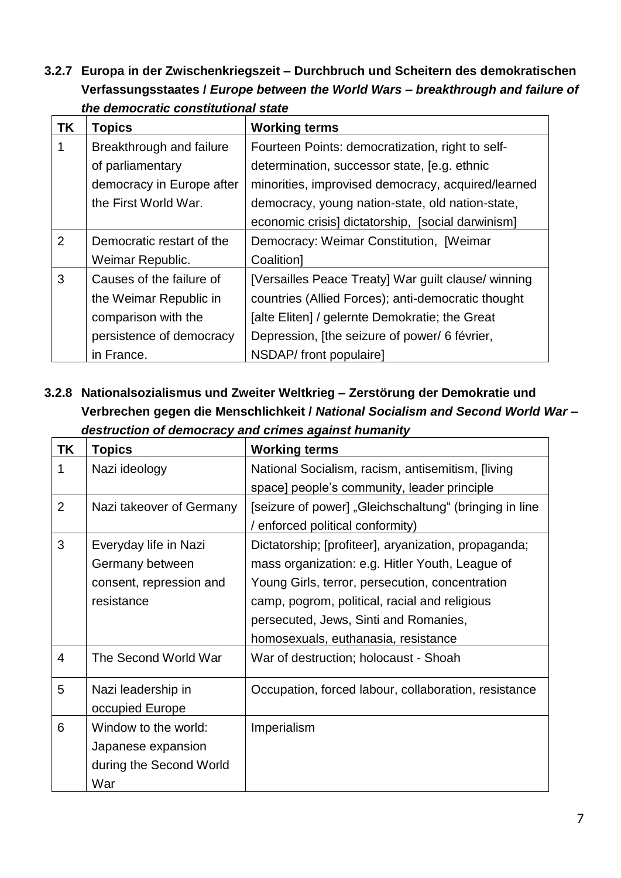**3.2.7 Europa in der Zwischenkriegszeit – Durchbruch und Scheitern des demokratischen Verfassungsstaates /** *Europe between the World Wars – breakthrough and failure of the democratic constitutional state*

| <b>TK</b> | <b>Topics</b>             | <b>Working terms</b>                                |
|-----------|---------------------------|-----------------------------------------------------|
|           | Breakthrough and failure  | Fourteen Points: democratization, right to self-    |
|           | of parliamentary          | determination, successor state, [e.g. ethnic        |
|           | democracy in Europe after | minorities, improvised democracy, acquired/learned  |
|           | the First World War.      | democracy, young nation-state, old nation-state,    |
|           |                           | economic crisis] dictatorship, [social darwinism]   |
| 2         | Democratic restart of the | Democracy: Weimar Constitution, [Weimar             |
|           | Weimar Republic.          | Coalition]                                          |
| 3         | Causes of the failure of  | [Versailles Peace Treaty] War guilt clause/ winning |
|           | the Weimar Republic in    | countries (Allied Forces); anti-democratic thought  |
|           | comparison with the       | [alte Eliten] / gelernte Demokratie; the Great      |
|           | persistence of democracy  | Depression, [the seizure of power/ 6 février,       |
|           | in France.                | NSDAP/ front populaire]                             |

**3.2.8 Nationalsozialismus und Zweiter Weltkrieg – Zerstörung der Demokratie und Verbrechen gegen die Menschlichkeit /** *National Socialism and Second World War – destruction of democracy and crimes against humanity*

| <b>TK</b>      | <b>Topics</b>                                                                     | <b>Working terms</b>                                                                                                                                                                                                                                                                        |
|----------------|-----------------------------------------------------------------------------------|---------------------------------------------------------------------------------------------------------------------------------------------------------------------------------------------------------------------------------------------------------------------------------------------|
| 1              | Nazi ideology                                                                     | National Socialism, racism, antisemitism, [living]<br>space] people's community, leader principle                                                                                                                                                                                           |
| $\overline{2}$ | Nazi takeover of Germany                                                          | [seizure of power] "Gleichschaltung" (bringing in line<br>/ enforced political conformity)                                                                                                                                                                                                  |
| 3              | Everyday life in Nazi<br>Germany between<br>consent, repression and<br>resistance | Dictatorship; [profiteer], aryanization, propaganda;<br>mass organization: e.g. Hitler Youth, League of<br>Young Girls, terror, persecution, concentration<br>camp, pogrom, political, racial and religious<br>persecuted, Jews, Sinti and Romanies,<br>homosexuals, euthanasia, resistance |
| $\overline{4}$ | The Second World War                                                              | War of destruction; holocaust - Shoah                                                                                                                                                                                                                                                       |
| 5              | Nazi leadership in<br>occupied Europe                                             | Occupation, forced labour, collaboration, resistance                                                                                                                                                                                                                                        |
| 6              | Window to the world:<br>Japanese expansion<br>during the Second World<br>War      | Imperialism                                                                                                                                                                                                                                                                                 |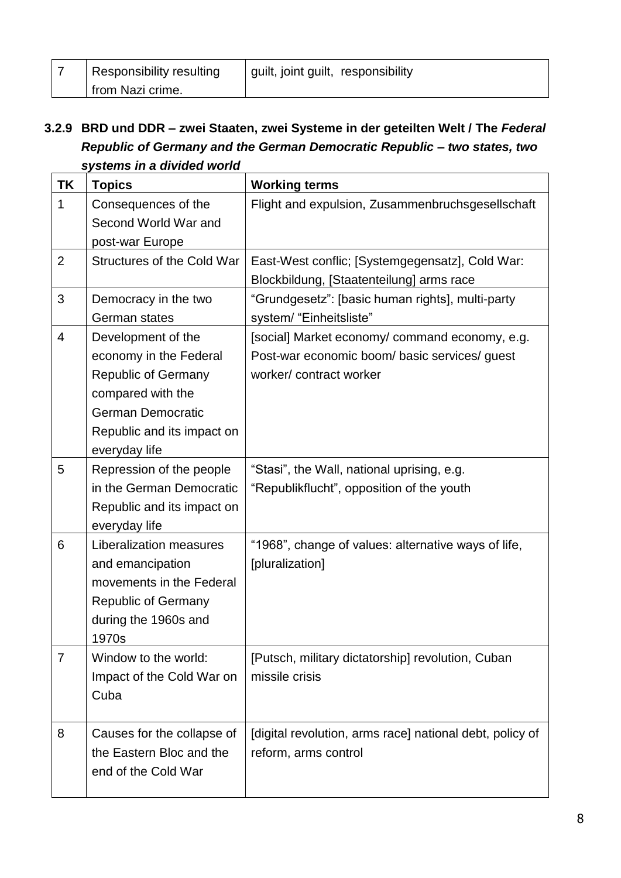| Responsibility resulting | guilt, joint guilt, responsibility |
|--------------------------|------------------------------------|
| from Nazi crime.         |                                    |

### **3.2.9 BRD und DDR – zwei Staaten, zwei Systeme in der geteilten Welt / The** *Federal Republic of Germany and the German Democratic Republic – two states, two systems in a divided world*

| ΤK             | $5.0113$ in a annaca noma<br><b>Topics</b>                                                                                                                                 | <b>Working terms</b>                                                                                                      |
|----------------|----------------------------------------------------------------------------------------------------------------------------------------------------------------------------|---------------------------------------------------------------------------------------------------------------------------|
| 1              | Consequences of the<br>Second World War and<br>post-war Europe                                                                                                             | Flight and expulsion, Zusammenbruchsgesellschaft                                                                          |
| $\overline{2}$ | <b>Structures of the Cold War</b>                                                                                                                                          | East-West conflic; [Systemgegensatz], Cold War:<br>Blockbildung, [Staatenteilung] arms race                               |
| 3              | Democracy in the two<br>German states                                                                                                                                      | "Grundgesetz": [basic human rights], multi-party<br>system/ "Einheitsliste"                                               |
| 4              | Development of the<br>economy in the Federal<br><b>Republic of Germany</b><br>compared with the<br><b>German Democratic</b><br>Republic and its impact on<br>everyday life | [social] Market economy/ command economy, e.g.<br>Post-war economic boom/ basic services/ guest<br>worker/contract worker |
| 5              | Repression of the people<br>in the German Democratic<br>Republic and its impact on<br>everyday life                                                                        | "Stasi", the Wall, national uprising, e.g.<br>"Republikflucht", opposition of the youth                                   |
| 6              | Liberalization measures<br>and emancipation<br>movements in the Federal<br><b>Republic of Germany</b><br>during the 1960s and<br>1970s                                     | "1968", change of values: alternative ways of life,<br>[pluralization]                                                    |
| $\overline{7}$ | Window to the world:<br>Impact of the Cold War on<br>Cuba                                                                                                                  | [Putsch, military dictatorship] revolution, Cuban<br>missile crisis                                                       |
| 8              | Causes for the collapse of<br>the Eastern Bloc and the<br>end of the Cold War                                                                                              | [digital revolution, arms race] national debt, policy of<br>reform, arms control                                          |